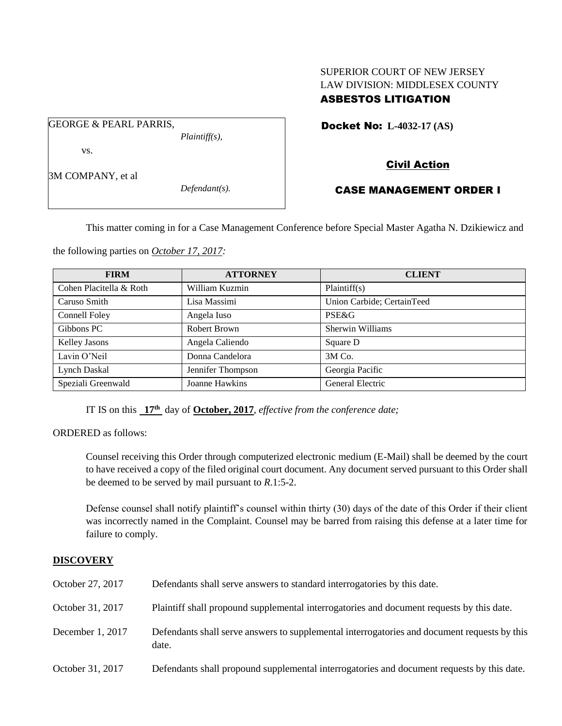# SUPERIOR COURT OF NEW JERSEY LAW DIVISION: MIDDLESEX COUNTY ASBESTOS LITIGATION

Docket No: **L-4032-17 (AS)** 

vs.

3M COMPANY, et al

GEORGE & PEARL PARRIS,

*Defendant(s).*

*Plaintiff(s),*

# Civil Action CASE MANAGEMENT ORDER I

This matter coming in for a Case Management Conference before Special Master Agatha N. Dzikiewicz and

the following parties on *October 17, 2017:*

| <b>FIRM</b>             | <b>ATTORNEY</b>   | <b>CLIENT</b>              |
|-------------------------|-------------------|----------------------------|
| Cohen Placitella & Roth | William Kuzmin    | Plaintiff(s)               |
| Caruso Smith            | Lisa Massimi      | Union Carbide; CertainTeed |
| Connell Foley           | Angela Iuso       | PSE&G                      |
| Gibbons PC              | Robert Brown      | Sherwin Williams           |
| Kelley Jasons           | Angela Caliendo   | Square D                   |
| Lavin O'Neil            | Donna Candelora   | 3M Co.                     |
| Lynch Daskal            | Jennifer Thompson | Georgia Pacific            |
| Speziali Greenwald      | Joanne Hawkins    | General Electric           |

IT IS on this **17th** day of **October, 2017**, *effective from the conference date;*

ORDERED as follows:

Counsel receiving this Order through computerized electronic medium (E-Mail) shall be deemed by the court to have received a copy of the filed original court document. Any document served pursuant to this Order shall be deemed to be served by mail pursuant to *R*.1:5-2.

Defense counsel shall notify plaintiff's counsel within thirty (30) days of the date of this Order if their client was incorrectly named in the Complaint. Counsel may be barred from raising this defense at a later time for failure to comply.

## **DISCOVERY**

| October 27, 2017 | Defendants shall serve answers to standard interrogatories by this date.                              |
|------------------|-------------------------------------------------------------------------------------------------------|
| October 31, 2017 | Plaintiff shall propound supplemental interrogatories and document requests by this date.             |
| December 1, 2017 | Defendants shall serve answers to supplemental interrogatories and document requests by this<br>date. |
| October 31, 2017 | Defendants shall propound supplemental interrogatories and document requests by this date.            |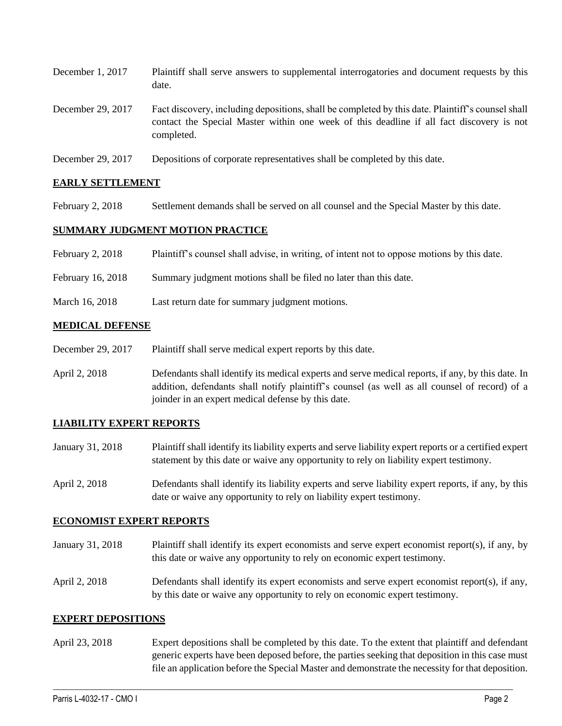| December 1, 2017  | Plaintiff shall serve answers to supplemental interrogatories and document requests by this<br>date.                                                                                                        |
|-------------------|-------------------------------------------------------------------------------------------------------------------------------------------------------------------------------------------------------------|
| December 29, 2017 | Fact discovery, including depositions, shall be completed by this date. Plaintiff's counsel shall<br>contact the Special Master within one week of this deadline if all fact discovery is not<br>completed. |
| December 29, 2017 | Depositions of corporate representatives shall be completed by this date.                                                                                                                                   |

## **EARLY SETTLEMENT**

February 2, 2018 Settlement demands shall be served on all counsel and the Special Master by this date.

## **SUMMARY JUDGMENT MOTION PRACTICE**

| February 2, 2018  | Plaintiff's counsel shall advise, in writing, of intent not to oppose motions by this date. |
|-------------------|---------------------------------------------------------------------------------------------|
| February 16, 2018 | Summary judgment motions shall be filed no later than this date.                            |

March 16, 2018 Last return date for summary judgment motions.

## **MEDICAL DEFENSE**

- December 29, 2017 Plaintiff shall serve medical expert reports by this date.
- April 2, 2018 Defendants shall identify its medical experts and serve medical reports, if any, by this date. In addition, defendants shall notify plaintiff's counsel (as well as all counsel of record) of a joinder in an expert medical defense by this date.

#### **LIABILITY EXPERT REPORTS**

- January 31, 2018 Plaintiff shall identify its liability experts and serve liability expert reports or a certified expert statement by this date or waive any opportunity to rely on liability expert testimony.
- April 2, 2018 Defendants shall identify its liability experts and serve liability expert reports, if any, by this date or waive any opportunity to rely on liability expert testimony.

#### **ECONOMIST EXPERT REPORTS**

- January 31, 2018 Plaintiff shall identify its expert economists and serve expert economist report(s), if any, by this date or waive any opportunity to rely on economic expert testimony.
- April 2, 2018 Defendants shall identify its expert economists and serve expert economist report(s), if any, by this date or waive any opportunity to rely on economic expert testimony.

#### **EXPERT DEPOSITIONS**

April 23, 2018 Expert depositions shall be completed by this date. To the extent that plaintiff and defendant generic experts have been deposed before, the parties seeking that deposition in this case must file an application before the Special Master and demonstrate the necessity for that deposition.

 $\_$  ,  $\_$  ,  $\_$  ,  $\_$  ,  $\_$  ,  $\_$  ,  $\_$  ,  $\_$  ,  $\_$  ,  $\_$  ,  $\_$  ,  $\_$  ,  $\_$  ,  $\_$  ,  $\_$  ,  $\_$  ,  $\_$  ,  $\_$  ,  $\_$  ,  $\_$  ,  $\_$  ,  $\_$  ,  $\_$  ,  $\_$  ,  $\_$  ,  $\_$  ,  $\_$  ,  $\_$  ,  $\_$  ,  $\_$  ,  $\_$  ,  $\_$  ,  $\_$  ,  $\_$  ,  $\_$  ,  $\_$  ,  $\_$  ,